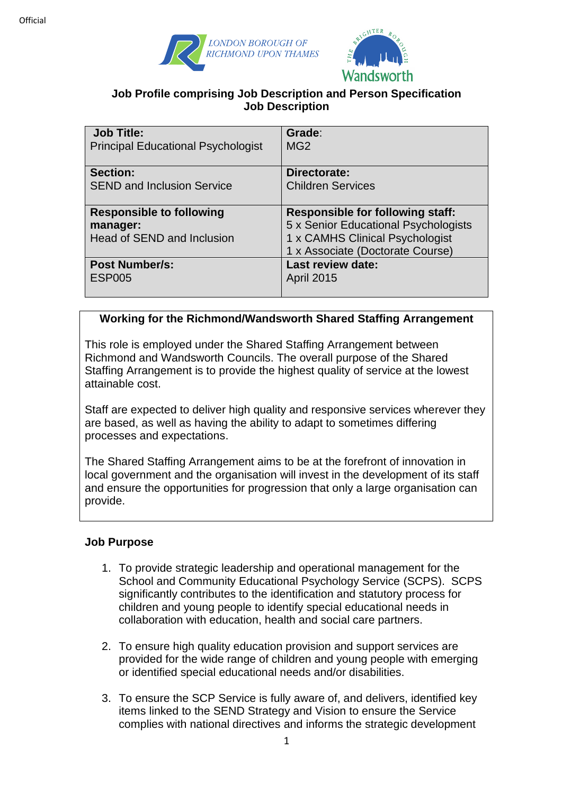



### **Job Profile comprising Job Description and Person Specification Job Description**

| <b>Job Title:</b><br><b>Principal Educational Psychologist</b> | Grade:<br>MG <sub>2</sub>               |
|----------------------------------------------------------------|-----------------------------------------|
| <b>Section:</b>                                                | Directorate:                            |
|                                                                |                                         |
| <b>SEND and Inclusion Service</b>                              | <b>Children Services</b>                |
|                                                                |                                         |
| <b>Responsible to following</b>                                | <b>Responsible for following staff:</b> |
| manager:                                                       | 5 x Senior Educational Psychologists    |
| Head of SEND and Inclusion                                     | 1 x CAMHS Clinical Psychologist         |
|                                                                | 1 x Associate (Doctorate Course)        |
| <b>Post Number/s:</b>                                          | Last review date:                       |
| <b>ESP005</b>                                                  | <b>April 2015</b>                       |
|                                                                |                                         |

# **Working for the Richmond/Wandsworth Shared Staffing Arrangement**

This role is employed under the Shared Staffing Arrangement between Richmond and Wandsworth Councils. The overall purpose of the Shared Staffing Arrangement is to provide the highest quality of service at the lowest attainable cost.

Staff are expected to deliver high quality and responsive services wherever they are based, as well as having the ability to adapt to sometimes differing processes and expectations.

The Shared Staffing Arrangement aims to be at the forefront of innovation in local government and the organisation will invest in the development of its staff and ensure the opportunities for progression that only a large organisation can provide.

#### **Job Purpose**

- 1. To provide strategic leadership and operational management for the School and Community Educational Psychology Service (SCPS). SCPS significantly contributes to the identification and statutory process for children and young people to identify special educational needs in collaboration with education, health and social care partners.
- 2. To ensure high quality education provision and support services are provided for the wide range of children and young people with emerging or identified special educational needs and/or disabilities.
- 3. To ensure the SCP Service is fully aware of, and delivers, identified key items linked to the SEND Strategy and Vision to ensure the Service complies with national directives and informs the strategic development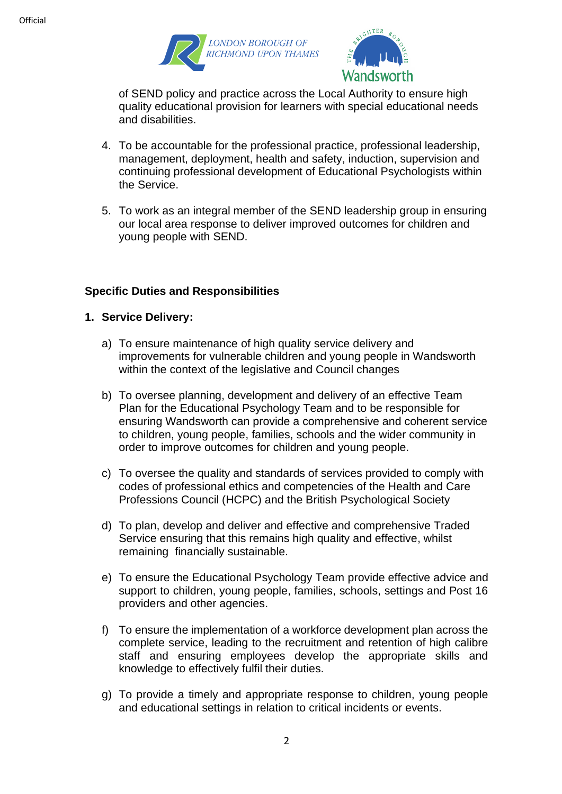



of SEND policy and practice across the Local Authority to ensure high quality educational provision for learners with special educational needs and disabilities.

- 4. To be accountable for the professional practice, professional leadership, management, deployment, health and safety, induction, supervision and continuing professional development of Educational Psychologists within the Service.
- 5. To work as an integral member of the SEND leadership group in ensuring our local area response to deliver improved outcomes for children and young people with SEND.

### **Specific Duties and Responsibilities**

- **1. Service Delivery:**
	- a) To ensure maintenance of high quality service delivery and improvements for vulnerable children and young people in Wandsworth within the context of the legislative and Council changes
	- b) To oversee planning, development and delivery of an effective Team Plan for the Educational Psychology Team and to be responsible for ensuring Wandsworth can provide a comprehensive and coherent service to children, young people, families, schools and the wider community in order to improve outcomes for children and young people.
	- c) To oversee the quality and standards of services provided to comply with codes of professional ethics and competencies of the Health and Care Professions Council (HCPC) and the British Psychological Society
	- d) To plan, develop and deliver and effective and comprehensive Traded Service ensuring that this remains high quality and effective, whilst remaining financially sustainable.
	- e) To ensure the Educational Psychology Team provide effective advice and support to children, young people, families, schools, settings and Post 16 providers and other agencies.
	- f) To ensure the implementation of a workforce development plan across the complete service, leading to the recruitment and retention of high calibre staff and ensuring employees develop the appropriate skills and knowledge to effectively fulfil their duties.
	- g) To provide a timely and appropriate response to children, young people and educational settings in relation to critical incidents or events.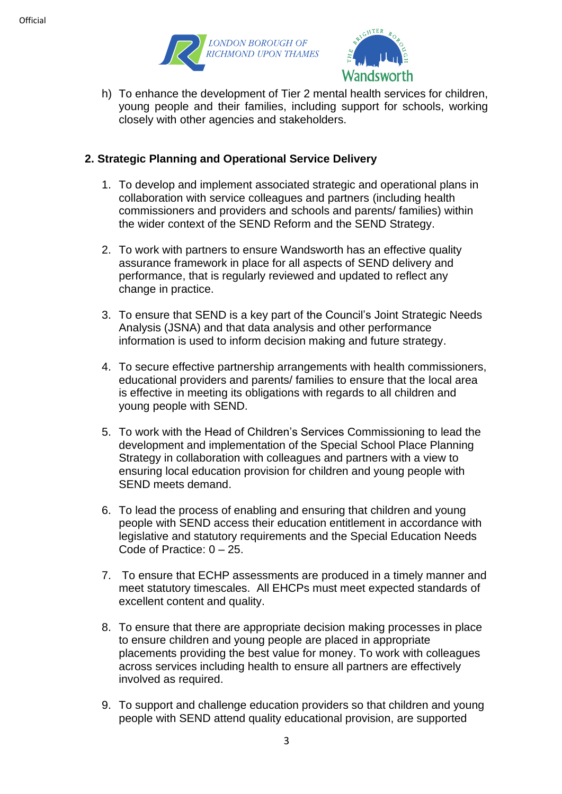



h) To enhance the development of Tier 2 mental health services for children, young people and their families, including support for schools, working closely with other agencies and stakeholders.

## **2. Strategic Planning and Operational Service Delivery**

- 1. To develop and implement associated strategic and operational plans in collaboration with service colleagues and partners (including health commissioners and providers and schools and parents/ families) within the wider context of the SEND Reform and the SEND Strategy.
- 2. To work with partners to ensure Wandsworth has an effective quality assurance framework in place for all aspects of SEND delivery and performance, that is regularly reviewed and updated to reflect any change in practice.
- 3. To ensure that SEND is a key part of the Council's Joint Strategic Needs Analysis (JSNA) and that data analysis and other performance information is used to inform decision making and future strategy.
- 4. To secure effective partnership arrangements with health commissioners, educational providers and parents/ families to ensure that the local area is effective in meeting its obligations with regards to all children and young people with SEND.
- 5. To work with the Head of Children's Services Commissioning to lead the development and implementation of the Special School Place Planning Strategy in collaboration with colleagues and partners with a view to ensuring local education provision for children and young people with SEND meets demand.
- 6. To lead the process of enabling and ensuring that children and young people with SEND access their education entitlement in accordance with legislative and statutory requirements and the Special Education Needs Code of Practice: 0 – 25.
- 7. To ensure that ECHP assessments are produced in a timely manner and meet statutory timescales. All EHCPs must meet expected standards of excellent content and quality.
- 8. To ensure that there are appropriate decision making processes in place to ensure children and young people are placed in appropriate placements providing the best value for money. To work with colleagues across services including health to ensure all partners are effectively involved as required.
- 9. To support and challenge education providers so that children and young people with SEND attend quality educational provision, are supported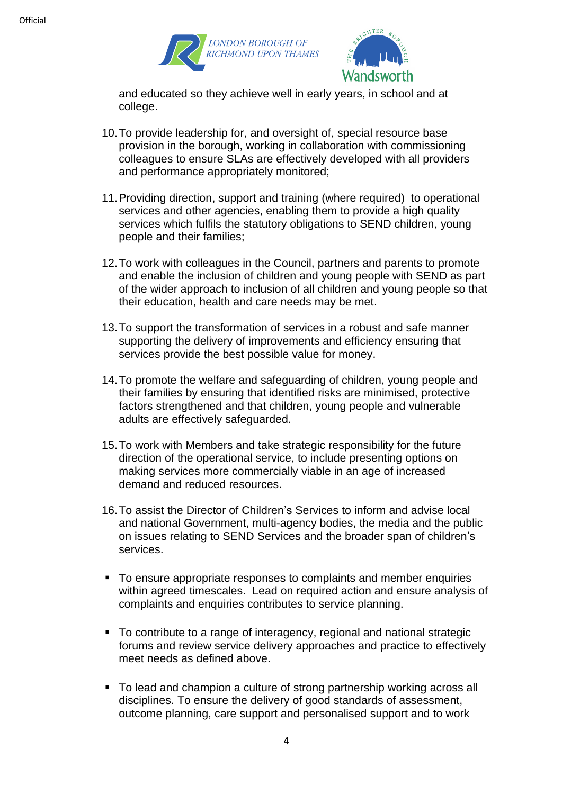



and educated so they achieve well in early years, in school and at college.

- 10.To provide leadership for, and oversight of, special resource base provision in the borough, working in collaboration with commissioning colleagues to ensure SLAs are effectively developed with all providers and performance appropriately monitored;
- 11.Providing direction, support and training (where required) to operational services and other agencies, enabling them to provide a high quality services which fulfils the statutory obligations to SEND children, young people and their families;
- 12.To work with colleagues in the Council, partners and parents to promote and enable the inclusion of children and young people with SEND as part of the wider approach to inclusion of all children and young people so that their education, health and care needs may be met.
- 13.To support the transformation of services in a robust and safe manner supporting the delivery of improvements and efficiency ensuring that services provide the best possible value for money.
- 14.To promote the welfare and safeguarding of children, young people and their families by ensuring that identified risks are minimised, protective factors strengthened and that children, young people and vulnerable adults are effectively safeguarded.
- 15.To work with Members and take strategic responsibility for the future direction of the operational service, to include presenting options on making services more commercially viable in an age of increased demand and reduced resources.
- 16.To assist the Director of Children's Services to inform and advise local and national Government, multi-agency bodies, the media and the public on issues relating to SEND Services and the broader span of children's services.
- To ensure appropriate responses to complaints and member enquiries within agreed timescales. Lead on required action and ensure analysis of complaints and enquiries contributes to service planning.
- To contribute to a range of interagency, regional and national strategic forums and review service delivery approaches and practice to effectively meet needs as defined above.
- To lead and champion a culture of strong partnership working across all disciplines. To ensure the delivery of good standards of assessment, outcome planning, care support and personalised support and to work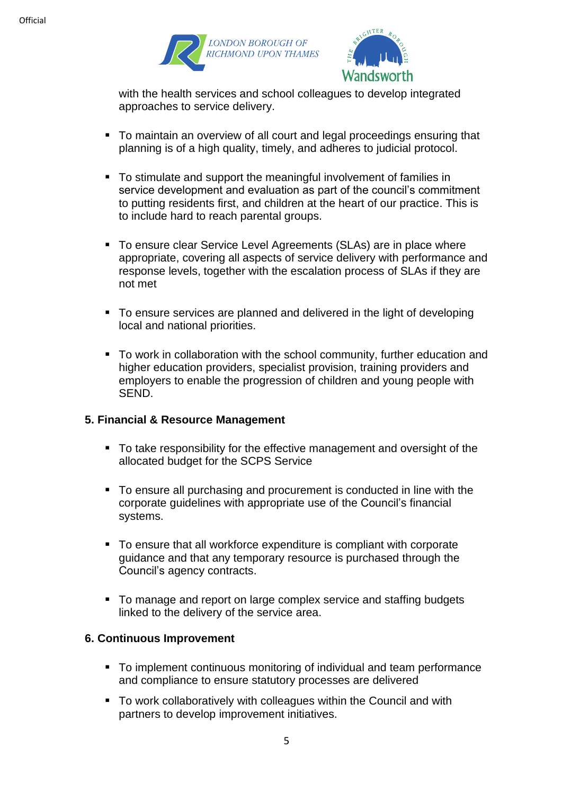



with the health services and school colleagues to develop integrated approaches to service delivery.

- To maintain an overview of all court and legal proceedings ensuring that planning is of a high quality, timely, and adheres to judicial protocol.
- To stimulate and support the meaningful involvement of families in service development and evaluation as part of the council's commitment to putting residents first, and children at the heart of our practice. This is to include hard to reach parental groups.
- To ensure clear Service Level Agreements (SLAs) are in place where appropriate, covering all aspects of service delivery with performance and response levels, together with the escalation process of SLAs if they are not met
- To ensure services are planned and delivered in the light of developing local and national priorities.
- To work in collaboration with the school community, further education and higher education providers, specialist provision, training providers and employers to enable the progression of children and young people with SEND.

### **5. Financial & Resource Management**

- To take responsibility for the effective management and oversight of the allocated budget for the SCPS Service
- To ensure all purchasing and procurement is conducted in line with the corporate guidelines with appropriate use of the Council's financial systems.
- To ensure that all workforce expenditure is compliant with corporate guidance and that any temporary resource is purchased through the Council's agency contracts.
- To manage and report on large complex service and staffing budgets linked to the delivery of the service area.

### **6. Continuous Improvement**

- To implement continuous monitoring of individual and team performance and compliance to ensure statutory processes are delivered
- To work collaboratively with colleagues within the Council and with partners to develop improvement initiatives.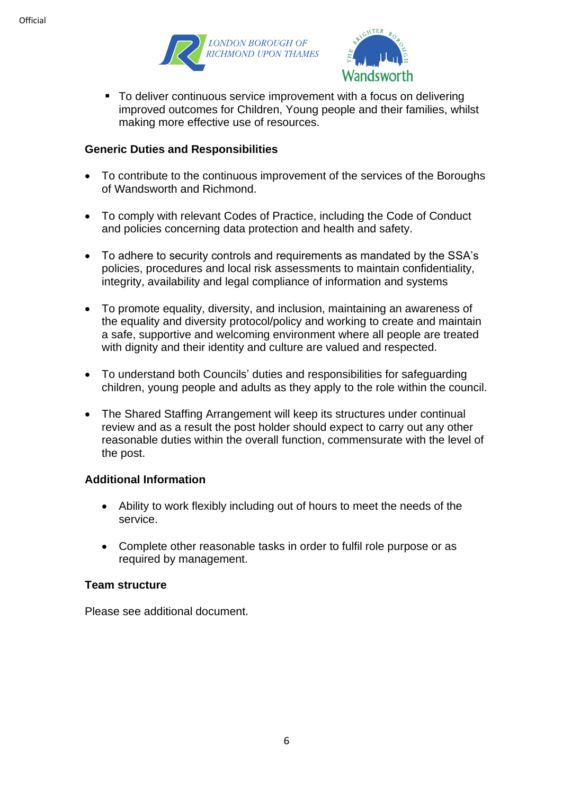



■ To deliver continuous service improvement with a focus on delivering improved outcomes for Children, Young people and their families, whilst making more effective use of resources.

## **Generic Duties and Responsibilities**

- To contribute to the continuous improvement of the services of the Boroughs of Wandsworth and Richmond.
- To comply with relevant Codes of Practice, including the Code of Conduct and policies concerning data protection and health and safety.
- To adhere to security controls and requirements as mandated by the SSA's policies, procedures and local risk assessments to maintain confidentiality, integrity, availability and legal compliance of information and systems
- To promote equality, diversity, and inclusion, maintaining an awareness of the equality and diversity protocol/policy and working to create and maintain a safe, supportive and welcoming environment where all people are treated with dignity and their identity and culture are valued and respected.
- To understand both Councils' duties and responsibilities for safeguarding children, young people and adults as they apply to the role within the council.
- The Shared Staffing Arrangement will keep its structures under continual review and as a result the post holder should expect to carry out any other reasonable duties within the overall function, commensurate with the level of the post.

### **Additional Information**

- Ability to work flexibly including out of hours to meet the needs of the service.
- Complete other reasonable tasks in order to fulfil role purpose or as required by management.

### **Team structure**

Please see additional document.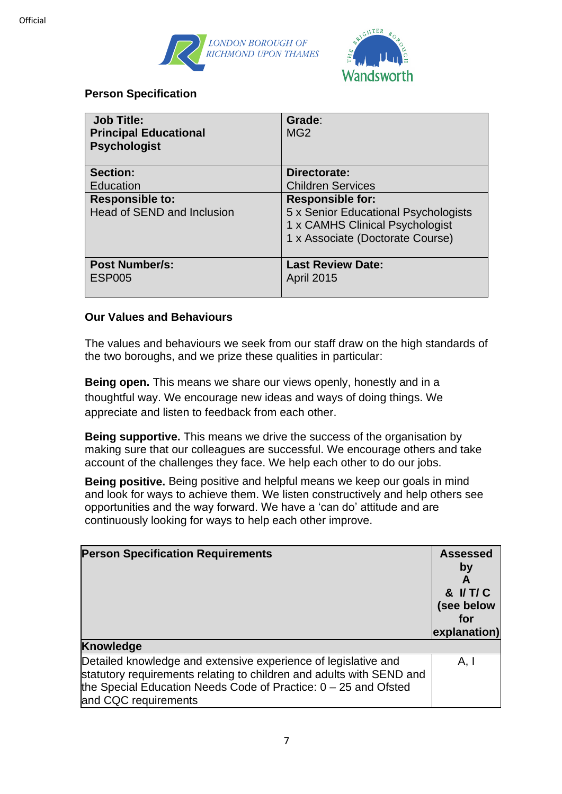



### **Person Specification**

| <b>Job Title:</b><br><b>Principal Educational</b><br><b>Psychologist</b> | Grade:<br>MG <sub>2</sub>            |
|--------------------------------------------------------------------------|--------------------------------------|
| <b>Section:</b>                                                          | Directorate:                         |
| Education                                                                | <b>Children Services</b>             |
| <b>Responsible to:</b>                                                   | <b>Responsible for:</b>              |
| Head of SEND and Inclusion                                               | 5 x Senior Educational Psychologists |
|                                                                          | 1 x CAMHS Clinical Psychologist      |
|                                                                          | 1 x Associate (Doctorate Course)     |
| <b>Post Number/s:</b>                                                    | <b>Last Review Date:</b>             |
| <b>ESP005</b>                                                            | <b>April 2015</b>                    |

### **Our Values and Behaviours**

The values and behaviours we seek from our staff draw on the high standards of the two boroughs, and we prize these qualities in particular:

**Being open.** This means we share our views openly, honestly and in a thoughtful way. We encourage new ideas and ways of doing things. We appreciate and listen to feedback from each other.

**Being supportive.** This means we drive the success of the organisation by making sure that our colleagues are successful. We encourage others and take account of the challenges they face. We help each other to do our jobs.

**Being positive.** Being positive and helpful means we keep our goals in mind and look for ways to achieve them. We listen constructively and help others see opportunities and the way forward. We have a 'can do' attitude and are continuously looking for ways to help each other improve.

| <b>Person Specification Requirements</b>                                                                                                                                                                                            | <b>Assessed</b><br>by<br>A<br>& I/T/C<br>(see below<br>for<br>explanation) |
|-------------------------------------------------------------------------------------------------------------------------------------------------------------------------------------------------------------------------------------|----------------------------------------------------------------------------|
| Knowledge                                                                                                                                                                                                                           |                                                                            |
| Detailed knowledge and extensive experience of legislative and<br>statutory requirements relating to children and adults with SEND and<br>the Special Education Needs Code of Practice: $0 - 25$ and Ofsted<br>and CQC requirements | A.I                                                                        |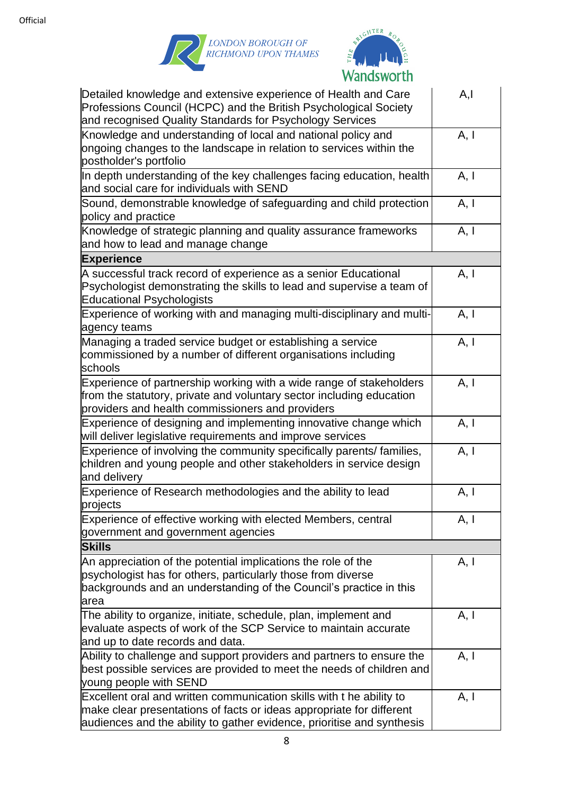



| Detailed knowledge and extensive experience of Health and Care<br>Professions Council (HCPC) and the British Psychological Society<br>and recognised Quality Standards for Psychology Services                         | A,I  |
|------------------------------------------------------------------------------------------------------------------------------------------------------------------------------------------------------------------------|------|
| Knowledge and understanding of local and national policy and<br>ongoing changes to the landscape in relation to services within the<br>postholder's portfolio                                                          | A, I |
| In depth understanding of the key challenges facing education, health<br>and social care for individuals with SEND                                                                                                     | A, I |
| Sound, demonstrable knowledge of safeguarding and child protection<br>policy and practice                                                                                                                              | A, I |
| Knowledge of strategic planning and quality assurance frameworks<br>and how to lead and manage change                                                                                                                  | A, I |
| <b>Experience</b>                                                                                                                                                                                                      |      |
| A successful track record of experience as a senior Educational<br>Psychologist demonstrating the skills to lead and supervise a team of<br><b>Educational Psychologists</b>                                           | A, I |
| Experience of working with and managing multi-disciplinary and multi-<br>agency teams                                                                                                                                  | A, I |
| Managing a traded service budget or establishing a service<br>commissioned by a number of different organisations including<br>schools                                                                                 | A, I |
| Experience of partnership working with a wide range of stakeholders<br>from the statutory, private and voluntary sector including education<br>providers and health commissioners and providers                        | A, I |
| Experience of designing and implementing innovative change which<br>will deliver legislative requirements and improve services                                                                                         | A, I |
| Experience of involving the community specifically parents/ families,<br>children and young people and other stakeholders in service design<br>and delivery                                                            | A, I |
| Experience of Research methodologies and the ability to lead<br>projects                                                                                                                                               | A, I |
| Experience of effective working with elected Members, central<br>government and government agencies                                                                                                                    | A, I |
| <b>Skills</b>                                                                                                                                                                                                          |      |
| An appreciation of the potential implications the role of the<br>psychologist has for others, particularly those from diverse<br>backgrounds and an understanding of the Council's practice in this<br>larea           | A, I |
| The ability to organize, initiate, schedule, plan, implement and<br>evaluate aspects of work of the SCP Service to maintain accurate<br>and up to date records and data.                                               | A, I |
| Ability to challenge and support providers and partners to ensure the<br>best possible services are provided to meet the needs of children and<br>young people with SEND                                               | A, I |
| Excellent oral and written communication skills with t he ability to<br>make clear presentations of facts or ideas appropriate for different<br>audiences and the ability to gather evidence, prioritise and synthesis | A, I |